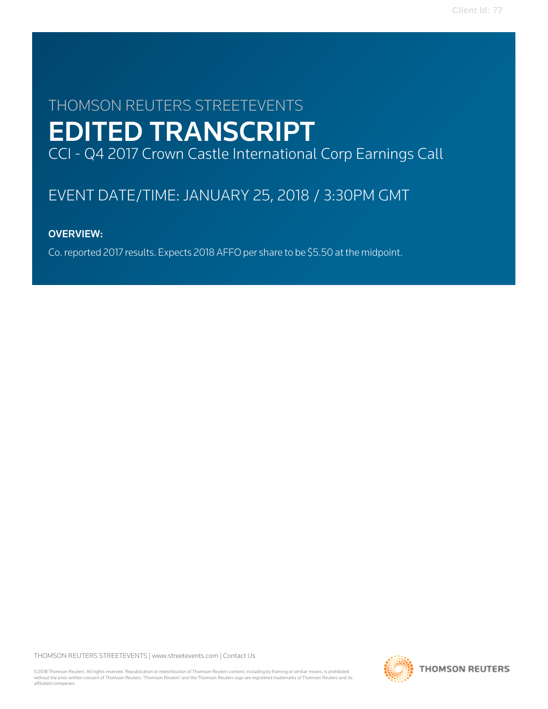# THOMSON REUTERS STREETEVENTS EDITED TRANSCRIPT CCI - Q4 2017 Crown Castle International Corp Earnings Call

# EVENT DATE/TIME: JANUARY 25, 2018 / 3:30PM GMT

# OVERVIEW:

Co. reported 2017 results. Expects 2018 AFFO per share to be \$5.50 at the midpoint.

THOMSON REUTERS STREETEVENTS | [www.streetevents.com](http://www.streetevents.com) | [Contact Us](http://www010.streetevents.com/contact.asp)

©2018 Thomson Reuters. All rights reserved. Republication or redistribution of Thomson Reuters content, including by framing or similar means, is prohibited without the prior written consent of Thomson Reuters. 'Thomson Reuters' and the Thomson Reuters logo are registered trademarks of Thomson Reuters and its affiliated companies.

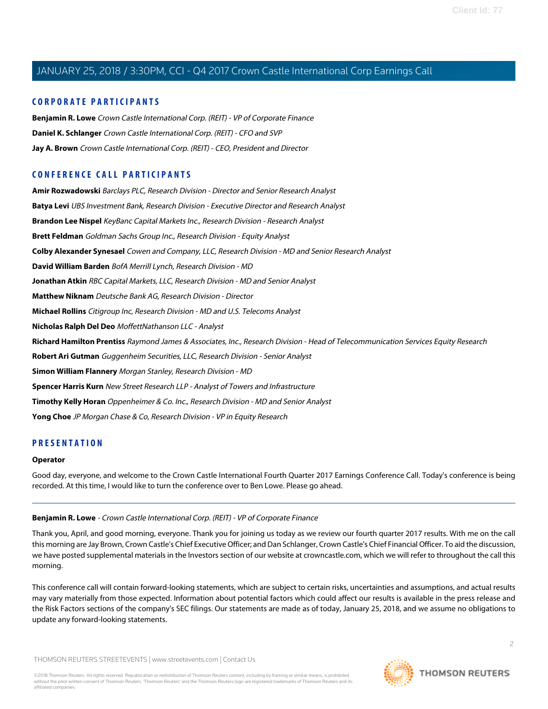# **CORPORATE PARTICIPANTS**

**[Benjamin R. Lowe](#page-1-0)** Crown Castle International Corp. (REIT) - VP of Corporate Finance **[Daniel K. Schlanger](#page-3-0)** Crown Castle International Corp. (REIT) - CFO and SVP **[Jay A. Brown](#page-2-0)** Crown Castle International Corp. (REIT) - CEO, President and Director

# **CONFERENCE CALL PARTICIPANTS**

**[Amir Rozwadowski](#page-13-0)** Barclays PLC, Research Division - Director and Senior Research Analyst **[Batya Levi](#page-17-0)** UBS Investment Bank, Research Division - Executive Director and Research Analyst **[Brandon Lee Nispel](#page-16-0)** KeyBanc Capital Markets Inc., Research Division - Research Analyst **[Brett Feldman](#page-6-0)** Goldman Sachs Group Inc., Research Division - Equity Analyst **[Colby Alexander Synesael](#page-10-0)** Cowen and Company, LLC, Research Division - MD and Senior Research Analyst **[David William Barden](#page-5-0)** BofA Merrill Lynch, Research Division - MD **[Jonathan Atkin](#page-11-0)** RBC Capital Markets, LLC, Research Division - MD and Senior Analyst **[Matthew Niknam](#page-7-0)** Deutsche Bank AG, Research Division - Director **[Michael Rollins](#page-9-0)** Citigroup Inc, Research Division - MD and U.S. Telecoms Analyst **[Nicholas Ralph Del Deo](#page-12-0)** MoffettNathanson LLC - Analyst **[Richard Hamilton Prentiss](#page-7-1)** Raymond James & Associates, Inc., Research Division - Head of Telecommunication Services Equity Research **[Robert Ari Gutman](#page-17-1)** Guggenheim Securities, LLC, Research Division - Senior Analyst **[Simon William Flannery](#page-4-0)** Morgan Stanley, Research Division - MD **[Spencer Harris Kurn](#page-14-0)** New Street Research LLP - Analyst of Towers and Infrastructure **[Timothy Kelly Horan](#page-15-0)** Oppenheimer & Co. Inc., Research Division - MD and Senior Analyst **[Yong Choe](#page-12-1)** JP Morgan Chase & Co, Research Division - VP in Equity Research

# **PRESENTATION**

#### <span id="page-1-0"></span>**Operator**

Good day, everyone, and welcome to the Crown Castle International Fourth Quarter 2017 Earnings Conference Call. Today's conference is being recorded. At this time, I would like to turn the conference over to Ben Lowe. Please go ahead.

#### **Benjamin R. Lowe** - Crown Castle International Corp. (REIT) - VP of Corporate Finance

Thank you, April, and good morning, everyone. Thank you for joining us today as we review our fourth quarter 2017 results. With me on the call this morning are Jay Brown, Crown Castle's Chief Executive Officer; and Dan Schlanger, Crown Castle's Chief Financial Officer. To aid the discussion, we have posted supplemental materials in the Investors section of our website at crowncastle.com, which we will refer to throughout the call this morning.

This conference call will contain forward-looking statements, which are subject to certain risks, uncertainties and assumptions, and actual results may vary materially from those expected. Information about potential factors which could affect our results is available in the press release and the Risk Factors sections of the company's SEC filings. Our statements are made as of today, January 25, 2018, and we assume no obligations to update any forward-looking statements.

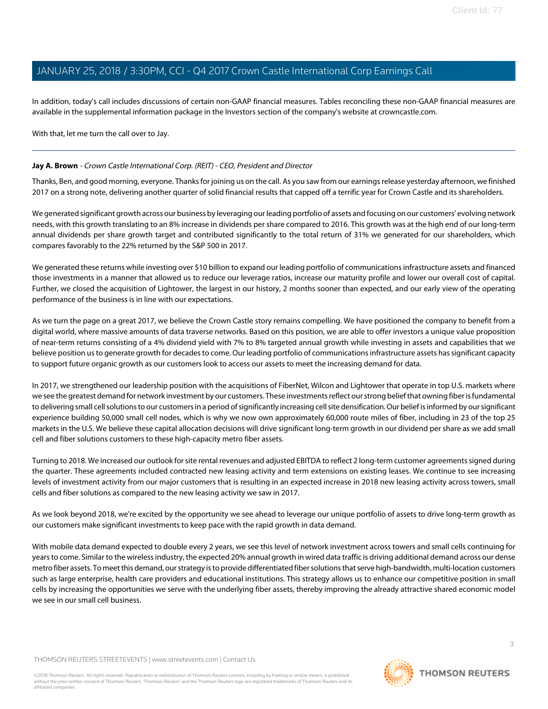In addition, today's call includes discussions of certain non-GAAP financial measures. Tables reconciling these non-GAAP financial measures are available in the supplemental information package in the Investors section of the company's website at crowncastle.com.

With that, let me turn the call over to Jay.

# <span id="page-2-0"></span>**Jay A. Brown** - Crown Castle International Corp. (REIT) - CEO, President and Director

Thanks, Ben, and good morning, everyone. Thanks for joining us on the call. As you saw from our earnings release yesterday afternoon, we finished 2017 on a strong note, delivering another quarter of solid financial results that capped off a terrific year for Crown Castle and its shareholders.

We generated significant growth across our business by leveraging our leading portfolio of assets and focusing on our customers' evolving network needs, with this growth translating to an 8% increase in dividends per share compared to 2016. This growth was at the high end of our long-term annual dividends per share growth target and contributed significantly to the total return of 31% we generated for our shareholders, which compares favorably to the 22% returned by the S&P 500 in 2017.

We generated these returns while investing over \$10 billion to expand our leading portfolio of communications infrastructure assets and financed those investments in a manner that allowed us to reduce our leverage ratios, increase our maturity profile and lower our overall cost of capital. Further, we closed the acquisition of Lightower, the largest in our history, 2 months sooner than expected, and our early view of the operating performance of the business is in line with our expectations.

As we turn the page on a great 2017, we believe the Crown Castle story remains compelling. We have positioned the company to benefit from a digital world, where massive amounts of data traverse networks. Based on this position, we are able to offer investors a unique value proposition of near-term returns consisting of a 4% dividend yield with 7% to 8% targeted annual growth while investing in assets and capabilities that we believe position us to generate growth for decades to come. Our leading portfolio of communications infrastructure assets has significant capacity to support future organic growth as our customers look to access our assets to meet the increasing demand for data.

In 2017, we strengthened our leadership position with the acquisitions of FiberNet, Wilcon and Lightower that operate in top U.S. markets where we see the greatest demand for network investment by our customers. These investments reflect our strong belief that owning fiber is fundamental to delivering small cell solutions to our customers in a period of significantly increasing cell site densification. Our belief is informed by our significant experience building 50,000 small cell nodes, which is why we now own approximately 60,000 route miles of fiber, including in 23 of the top 25 markets in the U.S. We believe these capital allocation decisions will drive significant long-term growth in our dividend per share as we add small cell and fiber solutions customers to these high-capacity metro fiber assets.

Turning to 2018. We increased our outlook for site rental revenues and adjusted EBITDA to reflect 2 long-term customer agreements signed during the quarter. These agreements included contracted new leasing activity and term extensions on existing leases. We continue to see increasing levels of investment activity from our major customers that is resulting in an expected increase in 2018 new leasing activity across towers, small cells and fiber solutions as compared to the new leasing activity we saw in 2017.

As we look beyond 2018, we're excited by the opportunity we see ahead to leverage our unique portfolio of assets to drive long-term growth as our customers make significant investments to keep pace with the rapid growth in data demand.

With mobile data demand expected to double every 2 years, we see this level of network investment across towers and small cells continuing for years to come. Similar to the wireless industry, the expected 20% annual growth in wired data traffic is driving additional demand across our dense metro fiber assets. To meet this demand, our strategy is to provide differentiated fiber solutions that serve high-bandwidth, multi-location customers such as large enterprise, health care providers and educational institutions. This strategy allows us to enhance our competitive position in small cells by increasing the opportunities we serve with the underlying fiber assets, thereby improving the already attractive shared economic model we see in our small cell business.

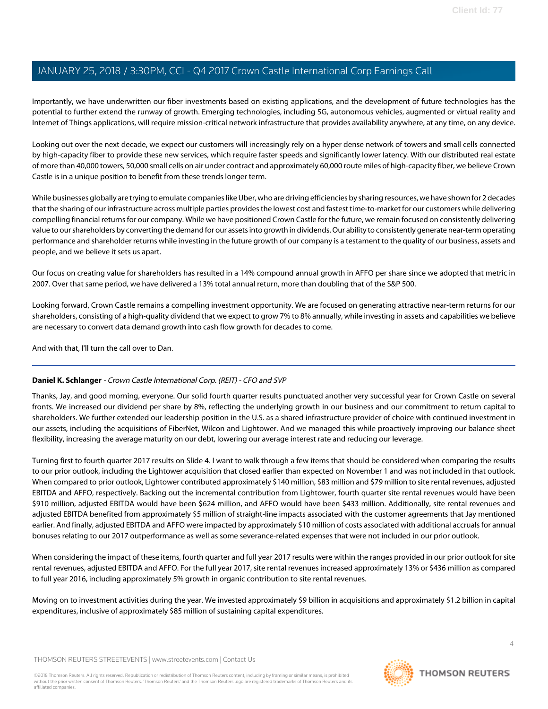Importantly, we have underwritten our fiber investments based on existing applications, and the development of future technologies has the potential to further extend the runway of growth. Emerging technologies, including 5G, autonomous vehicles, augmented or virtual reality and Internet of Things applications, will require mission-critical network infrastructure that provides availability anywhere, at any time, on any device.

Looking out over the next decade, we expect our customers will increasingly rely on a hyper dense network of towers and small cells connected by high-capacity fiber to provide these new services, which require faster speeds and significantly lower latency. With our distributed real estate of more than 40,000 towers, 50,000 small cells on air under contract and approximately 60,000 route miles of high-capacity fiber, we believe Crown Castle is in a unique position to benefit from these trends longer term.

While businesses globally are trying to emulate companies like Uber, who are driving efficiencies by sharing resources, we have shown for 2 decades that the sharing of our infrastructure across multiple parties provides the lowest cost and fastest time-to-market for our customers while delivering compelling financial returns for our company. While we have positioned Crown Castle for the future, we remain focused on consistently delivering value to our shareholders by converting the demand for our assets into growth in dividends. Our ability to consistently generate near-term operating performance and shareholder returns while investing in the future growth of our company is a testament to the quality of our business, assets and people, and we believe it sets us apart.

Our focus on creating value for shareholders has resulted in a 14% compound annual growth in AFFO per share since we adopted that metric in 2007. Over that same period, we have delivered a 13% total annual return, more than doubling that of the S&P 500.

Looking forward, Crown Castle remains a compelling investment opportunity. We are focused on generating attractive near-term returns for our shareholders, consisting of a high-quality dividend that we expect to grow 7% to 8% annually, while investing in assets and capabilities we believe are necessary to convert data demand growth into cash flow growth for decades to come.

<span id="page-3-0"></span>And with that, I'll turn the call over to Dan.

# **Daniel K. Schlanger** - Crown Castle International Corp. (REIT) - CFO and SVP

Thanks, Jay, and good morning, everyone. Our solid fourth quarter results punctuated another very successful year for Crown Castle on several fronts. We increased our dividend per share by 8%, reflecting the underlying growth in our business and our commitment to return capital to shareholders. We further extended our leadership position in the U.S. as a shared infrastructure provider of choice with continued investment in our assets, including the acquisitions of FiberNet, Wilcon and Lightower. And we managed this while proactively improving our balance sheet flexibility, increasing the average maturity on our debt, lowering our average interest rate and reducing our leverage.

Turning first to fourth quarter 2017 results on Slide 4. I want to walk through a few items that should be considered when comparing the results to our prior outlook, including the Lightower acquisition that closed earlier than expected on November 1 and was not included in that outlook. When compared to prior outlook, Lightower contributed approximately \$140 million, \$83 million and \$79 million to site rental revenues, adjusted EBITDA and AFFO, respectively. Backing out the incremental contribution from Lightower, fourth quarter site rental revenues would have been \$910 million, adjusted EBITDA would have been \$624 million, and AFFO would have been \$433 million. Additionally, site rental revenues and adjusted EBITDA benefited from approximately \$5 million of straight-line impacts associated with the customer agreements that Jay mentioned earlier. And finally, adjusted EBITDA and AFFO were impacted by approximately \$10 million of costs associated with additional accruals for annual bonuses relating to our 2017 outperformance as well as some severance-related expenses that were not included in our prior outlook.

When considering the impact of these items, fourth quarter and full year 2017 results were within the ranges provided in our prior outlook for site rental revenues, adjusted EBITDA and AFFO. For the full year 2017, site rental revenues increased approximately 13% or \$436 million as compared to full year 2016, including approximately 5% growth in organic contribution to site rental revenues.

Moving on to investment activities during the year. We invested approximately \$9 billion in acquisitions and approximately \$1.2 billion in capital expenditures, inclusive of approximately \$85 million of sustaining capital expenditures.

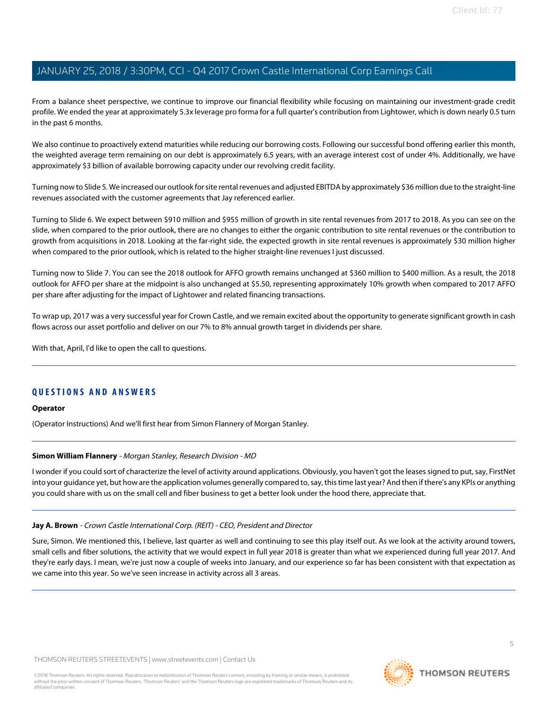From a balance sheet perspective, we continue to improve our financial flexibility while focusing on maintaining our investment-grade credit profile. We ended the year at approximately 5.3x leverage pro forma for a full quarter's contribution from Lightower, which is down nearly 0.5 turn in the past 6 months.

We also continue to proactively extend maturities while reducing our borrowing costs. Following our successful bond offering earlier this month, the weighted average term remaining on our debt is approximately 6.5 years, with an average interest cost of under 4%. Additionally, we have approximately \$3 billion of available borrowing capacity under our revolving credit facility.

Turning now to Slide 5. We increased our outlook for site rental revenues and adjusted EBITDA by approximately \$36 million due to the straight-line revenues associated with the customer agreements that Jay referenced earlier.

Turning to Slide 6. We expect between \$910 million and \$955 million of growth in site rental revenues from 2017 to 2018. As you can see on the slide, when compared to the prior outlook, there are no changes to either the organic contribution to site rental revenues or the contribution to growth from acquisitions in 2018. Looking at the far-right side, the expected growth in site rental revenues is approximately \$30 million higher when compared to the prior outlook, which is related to the higher straight-line revenues I just discussed.

Turning now to Slide 7. You can see the 2018 outlook for AFFO growth remains unchanged at \$360 million to \$400 million. As a result, the 2018 outlook for AFFO per share at the midpoint is also unchanged at \$5.50, representing approximately 10% growth when compared to 2017 AFFO per share after adjusting for the impact of Lightower and related financing transactions.

To wrap up, 2017 was a very successful year for Crown Castle, and we remain excited about the opportunity to generate significant growth in cash flows across our asset portfolio and deliver on our 7% to 8% annual growth target in dividends per share.

With that, April, I'd like to open the call to questions.

# **QUESTIONS AND ANSWERS**

#### <span id="page-4-0"></span>**Operator**

(Operator Instructions) And we'll first hear from Simon Flannery of Morgan Stanley.

#### **Simon William Flannery** - Morgan Stanley, Research Division - MD

I wonder if you could sort of characterize the level of activity around applications. Obviously, you haven't got the leases signed to put, say, FirstNet into your guidance yet, but how are the application volumes generally compared to, say, this time last year? And then if there's any KPIs or anything you could share with us on the small cell and fiber business to get a better look under the hood there, appreciate that.

#### **Jay A. Brown** - Crown Castle International Corp. (REIT) - CEO, President and Director

Sure, Simon. We mentioned this, I believe, last quarter as well and continuing to see this play itself out. As we look at the activity around towers, small cells and fiber solutions, the activity that we would expect in full year 2018 is greater than what we experienced during full year 2017. And they're early days. I mean, we're just now a couple of weeks into January, and our experience so far has been consistent with that expectation as we came into this year. So we've seen increase in activity across all 3 areas.

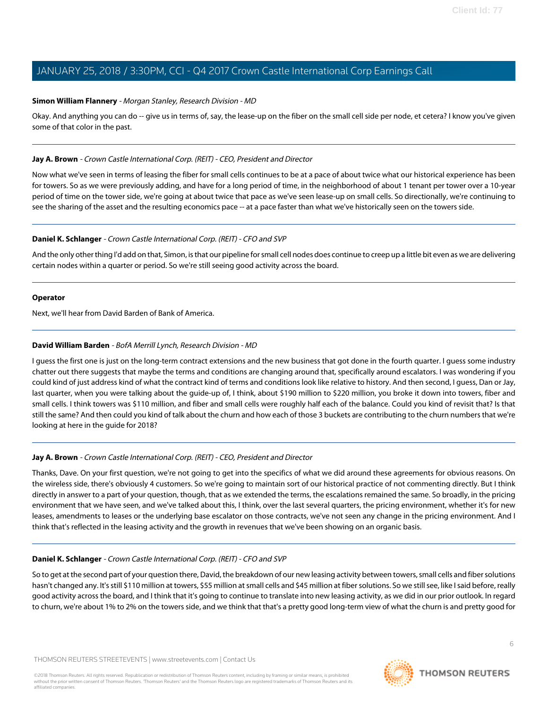#### **Simon William Flannery** - Morgan Stanley, Research Division - MD

Okay. And anything you can do -- give us in terms of, say, the lease-up on the fiber on the small cell side per node, et cetera? I know you've given some of that color in the past.

## **Jay A. Brown** - Crown Castle International Corp. (REIT) - CEO, President and Director

Now what we've seen in terms of leasing the fiber for small cells continues to be at a pace of about twice what our historical experience has been for towers. So as we were previously adding, and have for a long period of time, in the neighborhood of about 1 tenant per tower over a 10-year period of time on the tower side, we're going at about twice that pace as we've seen lease-up on small cells. So directionally, we're continuing to see the sharing of the asset and the resulting economics pace -- at a pace faster than what we've historically seen on the towers side.

# **Daniel K. Schlanger** - Crown Castle International Corp. (REIT) - CFO and SVP

And the only other thing I'd add on that, Simon, is that our pipeline for small cell nodes does continue to creep up a little bit even as we are delivering certain nodes within a quarter or period. So we're still seeing good activity across the board.

#### **Operator**

<span id="page-5-0"></span>Next, we'll hear from David Barden of Bank of America.

# **David William Barden** - BofA Merrill Lynch, Research Division - MD

I guess the first one is just on the long-term contract extensions and the new business that got done in the fourth quarter. I guess some industry chatter out there suggests that maybe the terms and conditions are changing around that, specifically around escalators. I was wondering if you could kind of just address kind of what the contract kind of terms and conditions look like relative to history. And then second, I guess, Dan or Jay, last quarter, when you were talking about the guide-up of, I think, about \$190 million to \$220 million, you broke it down into towers, fiber and small cells. I think towers was \$110 million, and fiber and small cells were roughly half each of the balance. Could you kind of revisit that? Is that still the same? And then could you kind of talk about the churn and how each of those 3 buckets are contributing to the churn numbers that we're looking at here in the guide for 2018?

# **Jay A. Brown** - Crown Castle International Corp. (REIT) - CEO, President and Director

Thanks, Dave. On your first question, we're not going to get into the specifics of what we did around these agreements for obvious reasons. On the wireless side, there's obviously 4 customers. So we're going to maintain sort of our historical practice of not commenting directly. But I think directly in answer to a part of your question, though, that as we extended the terms, the escalations remained the same. So broadly, in the pricing environment that we have seen, and we've talked about this, I think, over the last several quarters, the pricing environment, whether it's for new leases, amendments to leases or the underlying base escalator on those contracts, we've not seen any change in the pricing environment. And I think that's reflected in the leasing activity and the growth in revenues that we've been showing on an organic basis.

# **Daniel K. Schlanger** - Crown Castle International Corp. (REIT) - CFO and SVP

So to get at the second part of your question there, David, the breakdown of our new leasing activity between towers, small cells and fiber solutions hasn't changed any. It's still \$110 million at towers, \$55 million at small cells and \$45 million at fiber solutions. So we still see, like I said before, really good activity across the board, and I think that it's going to continue to translate into new leasing activity, as we did in our prior outlook. In regard to churn, we're about 1% to 2% on the towers side, and we think that that's a pretty good long-term view of what the churn is and pretty good for

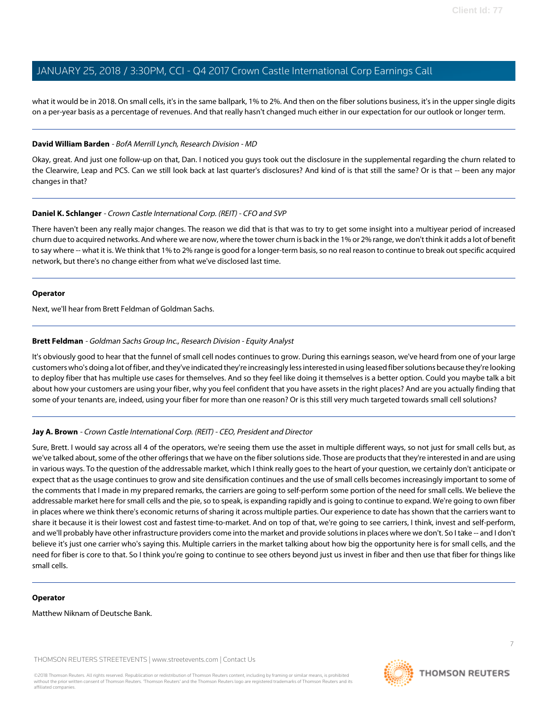what it would be in 2018. On small cells, it's in the same ballpark, 1% to 2%. And then on the fiber solutions business, it's in the upper single digits on a per-year basis as a percentage of revenues. And that really hasn't changed much either in our expectation for our outlook or longer term.

#### **David William Barden** - BofA Merrill Lynch, Research Division - MD

Okay, great. And just one follow-up on that, Dan. I noticed you guys took out the disclosure in the supplemental regarding the churn related to the Clearwire, Leap and PCS. Can we still look back at last quarter's disclosures? And kind of is that still the same? Or is that -- been any major changes in that?

# **Daniel K. Schlanger** - Crown Castle International Corp. (REIT) - CFO and SVP

There haven't been any really major changes. The reason we did that is that was to try to get some insight into a multiyear period of increased churn due to acquired networks. And where we are now, where the tower churn is back in the 1% or 2% range, we don't think it adds a lot of benefit to say where -- what it is. We think that 1% to 2% range is good for a longer-term basis, so no real reason to continue to break out specific acquired network, but there's no change either from what we've disclosed last time.

#### **Operator**

<span id="page-6-0"></span>Next, we'll hear from Brett Feldman of Goldman Sachs.

# **Brett Feldman** - Goldman Sachs Group Inc., Research Division - Equity Analyst

It's obviously good to hear that the funnel of small cell nodes continues to grow. During this earnings season, we've heard from one of your large customers who's doing a lot of fiber, and they've indicated they're increasingly less interested in using leased fiber solutions because they're looking to deploy fiber that has multiple use cases for themselves. And so they feel like doing it themselves is a better option. Could you maybe talk a bit about how your customers are using your fiber, why you feel confident that you have assets in the right places? And are you actually finding that some of your tenants are, indeed, using your fiber for more than one reason? Or is this still very much targeted towards small cell solutions?

# **Jay A. Brown** - Crown Castle International Corp. (REIT) - CEO, President and Director

Sure, Brett. I would say across all 4 of the operators, we're seeing them use the asset in multiple different ways, so not just for small cells but, as we've talked about, some of the other offerings that we have on the fiber solutions side. Those are products that they're interested in and are using in various ways. To the question of the addressable market, which I think really goes to the heart of your question, we certainly don't anticipate or expect that as the usage continues to grow and site densification continues and the use of small cells becomes increasingly important to some of the comments that I made in my prepared remarks, the carriers are going to self-perform some portion of the need for small cells. We believe the addressable market here for small cells and the pie, so to speak, is expanding rapidly and is going to continue to expand. We're going to own fiber in places where we think there's economic returns of sharing it across multiple parties. Our experience to date has shown that the carriers want to share it because it is their lowest cost and fastest time-to-market. And on top of that, we're going to see carriers, I think, invest and self-perform, and we'll probably have other infrastructure providers come into the market and provide solutions in places where we don't. So I take -- and I don't believe it's just one carrier who's saying this. Multiple carriers in the market talking about how big the opportunity here is for small cells, and the need for fiber is core to that. So I think you're going to continue to see others beyond just us invest in fiber and then use that fiber for things like small cells.

#### **Operator**

Matthew Niknam of Deutsche Bank.

THOMSON REUTERS STREETEVENTS | [www.streetevents.com](http://www.streetevents.com) | [Contact Us](http://www010.streetevents.com/contact.asp)

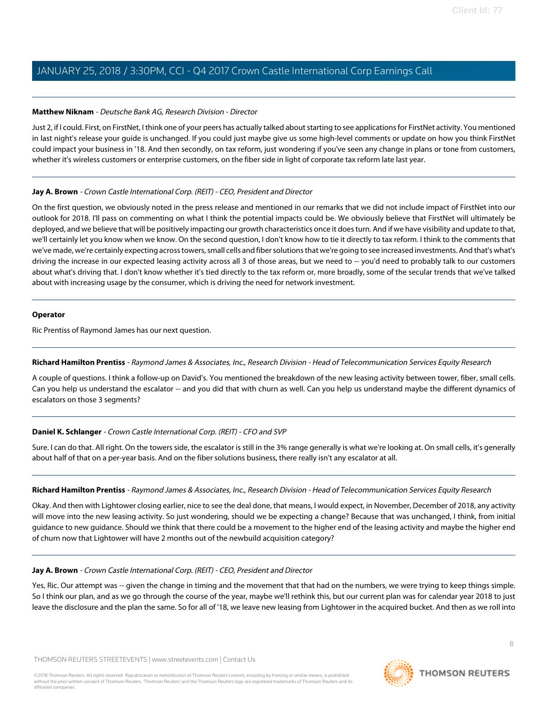# <span id="page-7-0"></span>**Matthew Niknam** - Deutsche Bank AG, Research Division - Director

Just 2, if I could. First, on FirstNet, I think one of your peers has actually talked about starting to see applications for FirstNet activity. You mentioned in last night's release your guide is unchanged. If you could just maybe give us some high-level comments or update on how you think FirstNet could impact your business in '18. And then secondly, on tax reform, just wondering if you've seen any change in plans or tone from customers, whether it's wireless customers or enterprise customers, on the fiber side in light of corporate tax reform late last year.

# **Jay A. Brown** - Crown Castle International Corp. (REIT) - CEO, President and Director

On the first question, we obviously noted in the press release and mentioned in our remarks that we did not include impact of FirstNet into our outlook for 2018. I'll pass on commenting on what I think the potential impacts could be. We obviously believe that FirstNet will ultimately be deployed, and we believe that will be positively impacting our growth characteristics once it does turn. And if we have visibility and update to that, we'll certainly let you know when we know. On the second question, I don't know how to tie it directly to tax reform. I think to the comments that we've made, we're certainly expecting across towers, small cells and fiber solutions that we're going to see increased investments. And that's what's driving the increase in our expected leasing activity across all 3 of those areas, but we need to -- you'd need to probably talk to our customers about what's driving that. I don't know whether it's tied directly to the tax reform or, more broadly, some of the secular trends that we've talked about with increasing usage by the consumer, which is driving the need for network investment.

# **Operator**

<span id="page-7-1"></span>Ric Prentiss of Raymond James has our next question.

# **Richard Hamilton Prentiss** - Raymond James & Associates, Inc., Research Division - Head of Telecommunication Services Equity Research

A couple of questions. I think a follow-up on David's. You mentioned the breakdown of the new leasing activity between tower, fiber, small cells. Can you help us understand the escalator -- and you did that with churn as well. Can you help us understand maybe the different dynamics of escalators on those 3 segments?

# **Daniel K. Schlanger** - Crown Castle International Corp. (REIT) - CFO and SVP

Sure. I can do that. All right. On the towers side, the escalator is still in the 3% range generally is what we're looking at. On small cells, it's generally about half of that on a per-year basis. And on the fiber solutions business, there really isn't any escalator at all.

#### **Richard Hamilton Prentiss** - Raymond James & Associates, Inc., Research Division - Head of Telecommunication Services Equity Research

Okay. And then with Lightower closing earlier, nice to see the deal done, that means, I would expect, in November, December of 2018, any activity will move into the new leasing activity. So just wondering, should we be expecting a change? Because that was unchanged, I think, from initial guidance to new guidance. Should we think that there could be a movement to the higher end of the leasing activity and maybe the higher end of churn now that Lightower will have 2 months out of the newbuild acquisition category?

#### **Jay A. Brown** - Crown Castle International Corp. (REIT) - CEO, President and Director

Yes, Ric. Our attempt was -- given the change in timing and the movement that that had on the numbers, we were trying to keep things simple. So I think our plan, and as we go through the course of the year, maybe we'll rethink this, but our current plan was for calendar year 2018 to just leave the disclosure and the plan the same. So for all of '18, we leave new leasing from Lightower in the acquired bucket. And then as we roll into

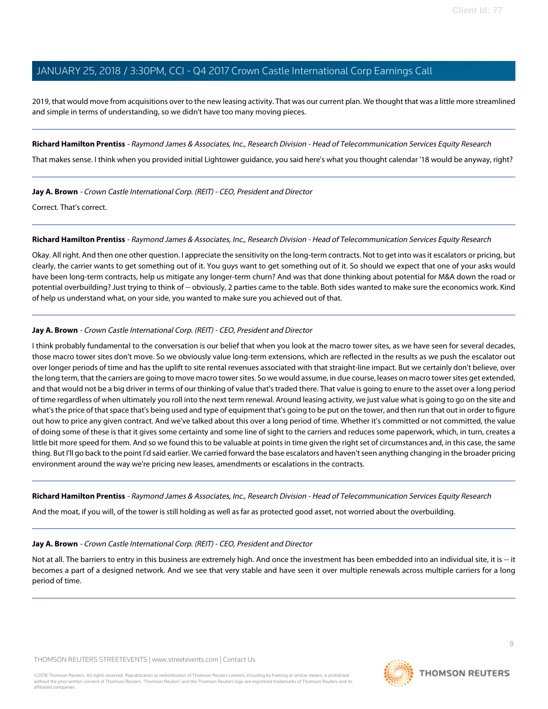2019, that would move from acquisitions over to the new leasing activity. That was our current plan. We thought that was a little more streamlined and simple in terms of understanding, so we didn't have too many moving pieces.

**Richard Hamilton Prentiss** - Raymond James & Associates, Inc., Research Division - Head of Telecommunication Services Equity Research

That makes sense. I think when you provided initial Lightower guidance, you said here's what you thought calendar '18 would be anyway, right?

**Jay A. Brown** - Crown Castle International Corp. (REIT) - CEO, President and Director

Correct. That's correct.

#### **Richard Hamilton Prentiss** - Raymond James & Associates, Inc., Research Division - Head of Telecommunication Services Equity Research

Okay. All right. And then one other question. I appreciate the sensitivity on the long-term contracts. Not to get into was it escalators or pricing, but clearly, the carrier wants to get something out of it. You guys want to get something out of it. So should we expect that one of your asks would have been long-term contracts, help us mitigate any longer-term churn? And was that done thinking about potential for M&A down the road or potential overbuilding? Just trying to think of -- obviously, 2 parties came to the table. Both sides wanted to make sure the economics work. Kind of help us understand what, on your side, you wanted to make sure you achieved out of that.

# **Jay A. Brown** - Crown Castle International Corp. (REIT) - CEO, President and Director

I think probably fundamental to the conversation is our belief that when you look at the macro tower sites, as we have seen for several decades, those macro tower sites don't move. So we obviously value long-term extensions, which are reflected in the results as we push the escalator out over longer periods of time and has the uplift to site rental revenues associated with that straight-line impact. But we certainly don't believe, over the long term, that the carriers are going to move macro tower sites. So we would assume, in due course, leases on macro tower sites get extended, and that would not be a big driver in terms of our thinking of value that's traded there. That value is going to enure to the asset over a long period of time regardless of when ultimately you roll into the next term renewal. Around leasing activity, we just value what is going to go on the site and what's the price of that space that's being used and type of equipment that's going to be put on the tower, and then run that out in order to figure out how to price any given contract. And we've talked about this over a long period of time. Whether it's committed or not committed, the value of doing some of these is that it gives some certainty and some line of sight to the carriers and reduces some paperwork, which, in turn, creates a little bit more speed for them. And so we found this to be valuable at points in time given the right set of circumstances and, in this case, the same thing. But I'll go back to the point I'd said earlier. We carried forward the base escalators and haven't seen anything changing in the broader pricing environment around the way we're pricing new leases, amendments or escalations in the contracts.

**Richard Hamilton Prentiss** - Raymond James & Associates, Inc., Research Division - Head of Telecommunication Services Equity Research

And the moat, if you will, of the tower is still holding as well as far as protected good asset, not worried about the overbuilding.

#### **Jay A. Brown** - Crown Castle International Corp. (REIT) - CEO, President and Director

Not at all. The barriers to entry in this business are extremely high. And once the investment has been embedded into an individual site, it is -- it becomes a part of a designed network. And we see that very stable and have seen it over multiple renewals across multiple carriers for a long period of time.

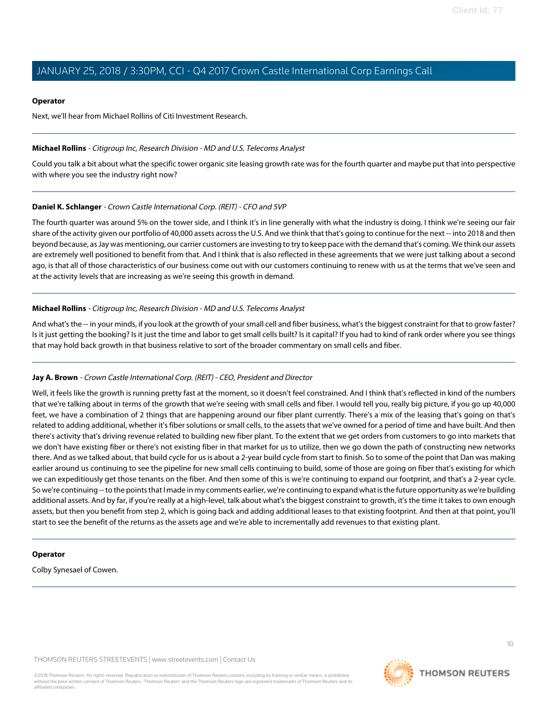#### **Operator**

Next, we'll hear from Michael Rollins of Citi Investment Research.

#### <span id="page-9-0"></span>**Michael Rollins** - Citigroup Inc, Research Division - MD and U.S. Telecoms Analyst

Could you talk a bit about what the specific tower organic site leasing growth rate was for the fourth quarter and maybe put that into perspective with where you see the industry right now?

# **Daniel K. Schlanger** - Crown Castle International Corp. (REIT) - CFO and SVP

The fourth quarter was around 5% on the tower side, and I think it's in line generally with what the industry is doing. I think we're seeing our fair share of the activity given our portfolio of 40,000 assets across the U.S. And we think that that's going to continue for the next -- into 2018 and then beyond because, as Jay was mentioning, our carrier customers are investing to try to keep pace with the demand that's coming. We think our assets are extremely well positioned to benefit from that. And I think that is also reflected in these agreements that we were just talking about a second ago, is that all of those characteristics of our business come out with our customers continuing to renew with us at the terms that we've seen and at the activity levels that are increasing as we're seeing this growth in demand.

# **Michael Rollins** - Citigroup Inc, Research Division - MD and U.S. Telecoms Analyst

And what's the -- in your minds, if you look at the growth of your small cell and fiber business, what's the biggest constraint for that to grow faster? Is it just getting the booking? Is it just the time and labor to get small cells built? Is it capital? If you had to kind of rank order where you see things that may hold back growth in that business relative to sort of the broader commentary on small cells and fiber.

#### **Jay A. Brown** - Crown Castle International Corp. (REIT) - CEO, President and Director

Well, it feels like the growth is running pretty fast at the moment, so it doesn't feel constrained. And I think that's reflected in kind of the numbers that we're talking about in terms of the growth that we're seeing with small cells and fiber. I would tell you, really big picture, if you go up 40,000 feet, we have a combination of 2 things that are happening around our fiber plant currently. There's a mix of the leasing that's going on that's related to adding additional, whether it's fiber solutions or small cells, to the assets that we've owned for a period of time and have built. And then there's activity that's driving revenue related to building new fiber plant. To the extent that we get orders from customers to go into markets that we don't have existing fiber or there's not existing fiber in that market for us to utilize, then we go down the path of constructing new networks there. And as we talked about, that build cycle for us is about a 2-year build cycle from start to finish. So to some of the point that Dan was making earlier around us continuing to see the pipeline for new small cells continuing to build, some of those are going on fiber that's existing for which we can expeditiously get those tenants on the fiber. And then some of this is we're continuing to expand our footprint, and that's a 2-year cycle. So we're continuing -- to the points that I made in my comments earlier, we're continuing to expand what is the future opportunity as we're building additional assets. And by far, if you're really at a high-level, talk about what's the biggest constraint to growth, it's the time it takes to own enough assets, but then you benefit from step 2, which is going back and adding additional leases to that existing footprint. And then at that point, you'll start to see the benefit of the returns as the assets age and we're able to incrementally add revenues to that existing plant.

#### **Operator**

Colby Synesael of Cowen.

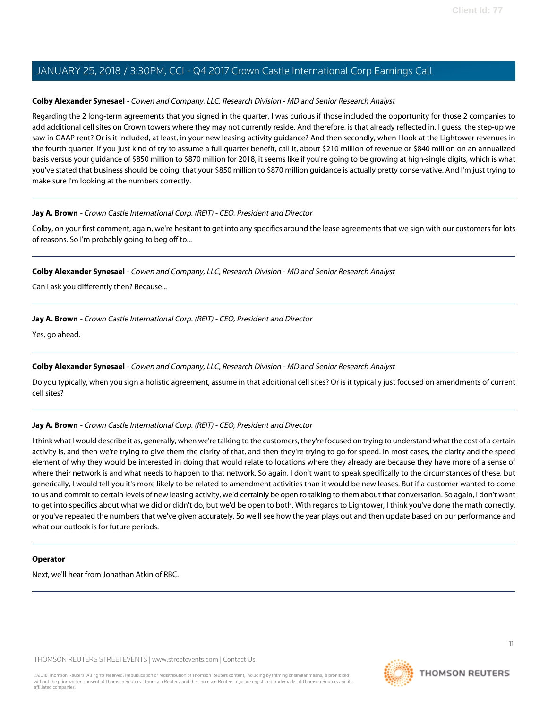## <span id="page-10-0"></span>**Colby Alexander Synesael** - Cowen and Company, LLC, Research Division - MD and Senior Research Analyst

Regarding the 2 long-term agreements that you signed in the quarter, I was curious if those included the opportunity for those 2 companies to add additional cell sites on Crown towers where they may not currently reside. And therefore, is that already reflected in, I guess, the step-up we saw in GAAP rent? Or is it included, at least, in your new leasing activity guidance? And then secondly, when I look at the Lightower revenues in the fourth quarter, if you just kind of try to assume a full quarter benefit, call it, about \$210 million of revenue or \$840 million on an annualized basis versus your guidance of \$850 million to \$870 million for 2018, it seems like if you're going to be growing at high-single digits, which is what you've stated that business should be doing, that your \$850 million to \$870 million guidance is actually pretty conservative. And I'm just trying to make sure I'm looking at the numbers correctly.

# **Jay A. Brown** - Crown Castle International Corp. (REIT) - CEO, President and Director

Colby, on your first comment, again, we're hesitant to get into any specifics around the lease agreements that we sign with our customers for lots of reasons. So I'm probably going to beg off to...

#### **Colby Alexander Synesael** - Cowen and Company, LLC, Research Division - MD and Senior Research Analyst

Can I ask you differently then? Because...

# **Jay A. Brown** - Crown Castle International Corp. (REIT) - CEO, President and Director

Yes, go ahead.

# **Colby Alexander Synesael** - Cowen and Company, LLC, Research Division - MD and Senior Research Analyst

Do you typically, when you sign a holistic agreement, assume in that additional cell sites? Or is it typically just focused on amendments of current cell sites?

# **Jay A. Brown** - Crown Castle International Corp. (REIT) - CEO, President and Director

I think what I would describe it as, generally, when we're talking to the customers, they're focused on trying to understand what the cost of a certain activity is, and then we're trying to give them the clarity of that, and then they're trying to go for speed. In most cases, the clarity and the speed element of why they would be interested in doing that would relate to locations where they already are because they have more of a sense of where their network is and what needs to happen to that network. So again, I don't want to speak specifically to the circumstances of these, but generically, I would tell you it's more likely to be related to amendment activities than it would be new leases. But if a customer wanted to come to us and commit to certain levels of new leasing activity, we'd certainly be open to talking to them about that conversation. So again, I don't want to get into specifics about what we did or didn't do, but we'd be open to both. With regards to Lightower, I think you've done the math correctly, or you've repeated the numbers that we've given accurately. So we'll see how the year plays out and then update based on our performance and what our outlook is for future periods.

#### **Operator**

Next, we'll hear from Jonathan Atkin of RBC.

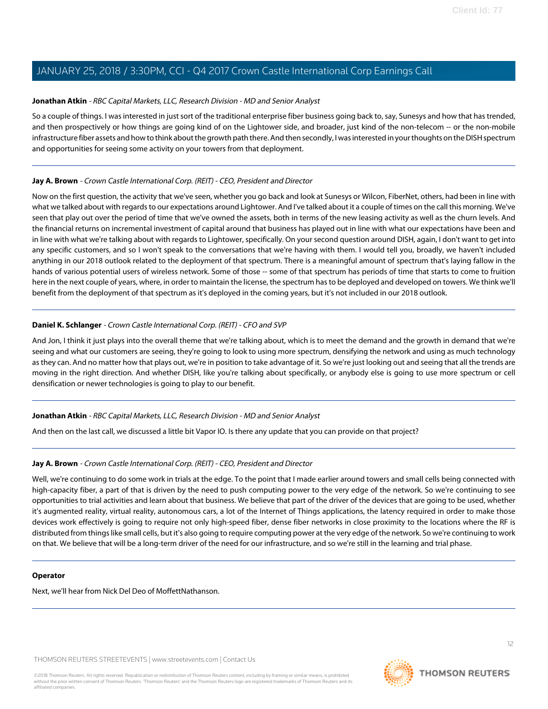## <span id="page-11-0"></span>**Jonathan Atkin** - RBC Capital Markets, LLC, Research Division - MD and Senior Analyst

So a couple of things. I was interested in just sort of the traditional enterprise fiber business going back to, say, Sunesys and how that has trended, and then prospectively or how things are going kind of on the Lightower side, and broader, just kind of the non-telecom -- or the non-mobile infrastructure fiber assets and how to think about the growth path there. And then secondly, I was interested in your thoughts on the DISH spectrum and opportunities for seeing some activity on your towers from that deployment.

# **Jay A. Brown** - Crown Castle International Corp. (REIT) - CEO, President and Director

Now on the first question, the activity that we've seen, whether you go back and look at Sunesys or Wilcon, FiberNet, others, had been in line with what we talked about with regards to our expectations around Lightower. And I've talked about it a couple of times on the call this morning. We've seen that play out over the period of time that we've owned the assets, both in terms of the new leasing activity as well as the churn levels. And the financial returns on incremental investment of capital around that business has played out in line with what our expectations have been and in line with what we're talking about with regards to Lightower, specifically. On your second question around DISH, again, I don't want to get into any specific customers, and so I won't speak to the conversations that we're having with them. I would tell you, broadly, we haven't included anything in our 2018 outlook related to the deployment of that spectrum. There is a meaningful amount of spectrum that's laying fallow in the hands of various potential users of wireless network. Some of those -- some of that spectrum has periods of time that starts to come to fruition here in the next couple of years, where, in order to maintain the license, the spectrum has to be deployed and developed on towers. We think we'll benefit from the deployment of that spectrum as it's deployed in the coming years, but it's not included in our 2018 outlook.

# **Daniel K. Schlanger** - Crown Castle International Corp. (REIT) - CFO and SVP

And Jon, I think it just plays into the overall theme that we're talking about, which is to meet the demand and the growth in demand that we're seeing and what our customers are seeing, they're going to look to using more spectrum, densifying the network and using as much technology as they can. And no matter how that plays out, we're in position to take advantage of it. So we're just looking out and seeing that all the trends are moving in the right direction. And whether DISH, like you're talking about specifically, or anybody else is going to use more spectrum or cell densification or newer technologies is going to play to our benefit.

#### **Jonathan Atkin** - RBC Capital Markets, LLC, Research Division - MD and Senior Analyst

And then on the last call, we discussed a little bit Vapor IO. Is there any update that you can provide on that project?

## **Jay A. Brown** - Crown Castle International Corp. (REIT) - CEO, President and Director

Well, we're continuing to do some work in trials at the edge. To the point that I made earlier around towers and small cells being connected with high-capacity fiber, a part of that is driven by the need to push computing power to the very edge of the network. So we're continuing to see opportunities to trial activities and learn about that business. We believe that part of the driver of the devices that are going to be used, whether it's augmented reality, virtual reality, autonomous cars, a lot of the Internet of Things applications, the latency required in order to make those devices work effectively is going to require not only high-speed fiber, dense fiber networks in close proximity to the locations where the RF is distributed from things like small cells, but it's also going to require computing power at the very edge of the network. So we're continuing to work on that. We believe that will be a long-term driver of the need for our infrastructure, and so we're still in the learning and trial phase.

#### **Operator**

Next, we'll hear from Nick Del Deo of MoffettNathanson.

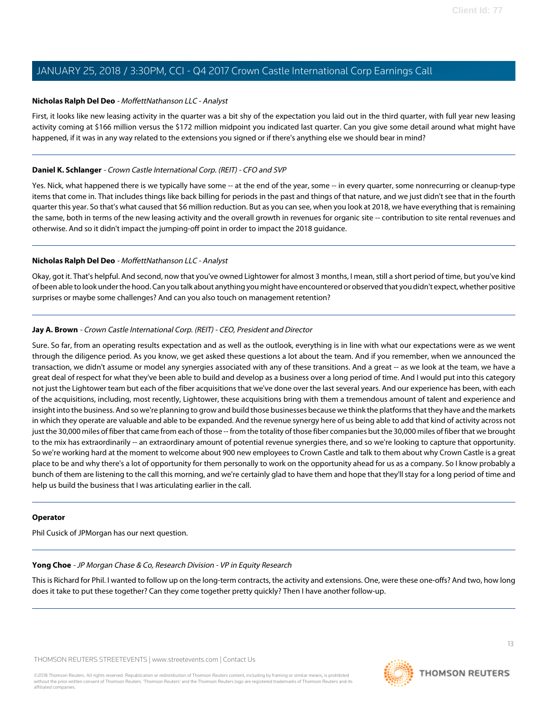#### <span id="page-12-0"></span>**Nicholas Ralph Del Deo** - MoffettNathanson LLC - Analyst

First, it looks like new leasing activity in the quarter was a bit shy of the expectation you laid out in the third quarter, with full year new leasing activity coming at \$166 million versus the \$172 million midpoint you indicated last quarter. Can you give some detail around what might have happened, if it was in any way related to the extensions you signed or if there's anything else we should bear in mind?

# **Daniel K. Schlanger** - Crown Castle International Corp. (REIT) - CFO and SVP

Yes. Nick, what happened there is we typically have some -- at the end of the year, some -- in every quarter, some nonrecurring or cleanup-type items that come in. That includes things like back billing for periods in the past and things of that nature, and we just didn't see that in the fourth quarter this year. So that's what caused that \$6 million reduction. But as you can see, when you look at 2018, we have everything that is remaining the same, both in terms of the new leasing activity and the overall growth in revenues for organic site -- contribution to site rental revenues and otherwise. And so it didn't impact the jumping-off point in order to impact the 2018 guidance.

# **Nicholas Ralph Del Deo** - MoffettNathanson LLC - Analyst

Okay, got it. That's helpful. And second, now that you've owned Lightower for almost 3 months, I mean, still a short period of time, but you've kind of been able to look under the hood. Can you talk about anything you might have encountered or observed that you didn't expect, whether positive surprises or maybe some challenges? And can you also touch on management retention?

# **Jay A. Brown** - Crown Castle International Corp. (REIT) - CEO, President and Director

Sure. So far, from an operating results expectation and as well as the outlook, everything is in line with what our expectations were as we went through the diligence period. As you know, we get asked these questions a lot about the team. And if you remember, when we announced the transaction, we didn't assume or model any synergies associated with any of these transitions. And a great -- as we look at the team, we have a great deal of respect for what they've been able to build and develop as a business over a long period of time. And I would put into this category not just the Lightower team but each of the fiber acquisitions that we've done over the last several years. And our experience has been, with each of the acquisitions, including, most recently, Lightower, these acquisitions bring with them a tremendous amount of talent and experience and insight into the business. And so we're planning to grow and build those businesses because we think the platforms that they have and the markets in which they operate are valuable and able to be expanded. And the revenue synergy here of us being able to add that kind of activity across not just the 30,000 miles of fiber that came from each of those -- from the totality of those fiber companies but the 30,000 miles of fiber that we brought to the mix has extraordinarily -- an extraordinary amount of potential revenue synergies there, and so we're looking to capture that opportunity. So we're working hard at the moment to welcome about 900 new employees to Crown Castle and talk to them about why Crown Castle is a great place to be and why there's a lot of opportunity for them personally to work on the opportunity ahead for us as a company. So I know probably a bunch of them are listening to the call this morning, and we're certainly glad to have them and hope that they'll stay for a long period of time and help us build the business that I was articulating earlier in the call.

#### <span id="page-12-1"></span>**Operator**

Phil Cusick of JPMorgan has our next question.

#### **Yong Choe** - JP Morgan Chase & Co, Research Division - VP in Equity Research

This is Richard for Phil. I wanted to follow up on the long-term contracts, the activity and extensions. One, were these one-offs? And two, how long does it take to put these together? Can they come together pretty quickly? Then I have another follow-up.

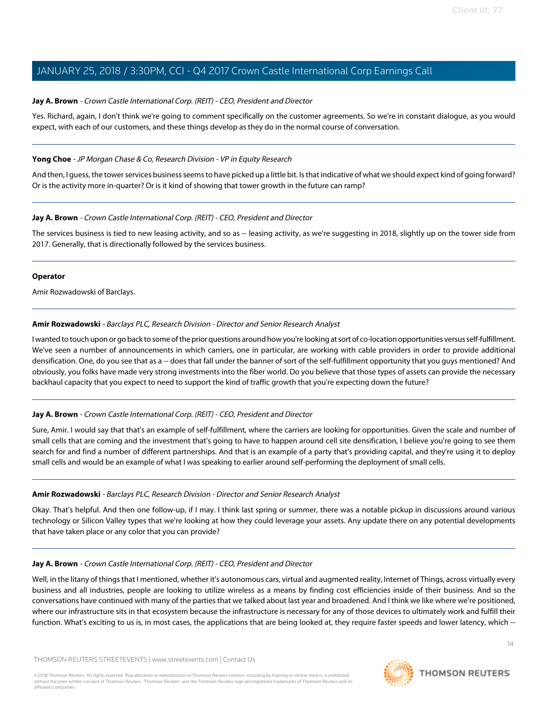# **Jay A. Brown** - Crown Castle International Corp. (REIT) - CEO, President and Director

Yes. Richard, again, I don't think we're going to comment specifically on the customer agreements. So we're in constant dialogue, as you would expect, with each of our customers, and these things develop as they do in the normal course of conversation.

## **Yong Choe** - JP Morgan Chase & Co, Research Division - VP in Equity Research

And then, I guess, the tower services business seems to have picked up a little bit. Is that indicative of what we should expect kind of going forward? Or is the activity more in-quarter? Or is it kind of showing that tower growth in the future can ramp?

# **Jay A. Brown** - Crown Castle International Corp. (REIT) - CEO, President and Director

The services business is tied to new leasing activity, and so as -- leasing activity, as we're suggesting in 2018, slightly up on the tower side from 2017. Generally, that is directionally followed by the services business.

#### **Operator**

<span id="page-13-0"></span>Amir Rozwadowski of Barclays.

# **Amir Rozwadowski** - Barclays PLC, Research Division - Director and Senior Research Analyst

I wanted to touch upon or go back to some of the prior questions around how you're looking at sort of co-location opportunities versus self-fulfillment. We've seen a number of announcements in which carriers, one in particular, are working with cable providers in order to provide additional densification. One, do you see that as a -- does that fall under the banner of sort of the self-fulfillment opportunity that you guys mentioned? And obviously, you folks have made very strong investments into the fiber world. Do you believe that those types of assets can provide the necessary backhaul capacity that you expect to need to support the kind of traffic growth that you're expecting down the future?

#### **Jay A. Brown** - Crown Castle International Corp. (REIT) - CEO, President and Director

Sure, Amir. I would say that that's an example of self-fulfillment, where the carriers are looking for opportunities. Given the scale and number of small cells that are coming and the investment that's going to have to happen around cell site densification, I believe you're going to see them search for and find a number of different partnerships. And that is an example of a party that's providing capital, and they're using it to deploy small cells and would be an example of what I was speaking to earlier around self-performing the deployment of small cells.

#### **Amir Rozwadowski** - Barclays PLC, Research Division - Director and Senior Research Analyst

Okay. That's helpful. And then one follow-up, if I may. I think last spring or summer, there was a notable pickup in discussions around various technology or Silicon Valley types that we're looking at how they could leverage your assets. Any update there on any potential developments that have taken place or any color that you can provide?

#### **Jay A. Brown** - Crown Castle International Corp. (REIT) - CEO, President and Director

Well, in the litany of things that I mentioned, whether it's autonomous cars, virtual and augmented reality, Internet of Things, across virtually every business and all industries, people are looking to utilize wireless as a means by finding cost efficiencies inside of their business. And so the conversations have continued with many of the parties that we talked about last year and broadened. And I think we like where we're positioned, where our infrastructure sits in that ecosystem because the infrastructure is necessary for any of those devices to ultimately work and fulfill their function. What's exciting to us is, in most cases, the applications that are being looked at, they require faster speeds and lower latency, which --

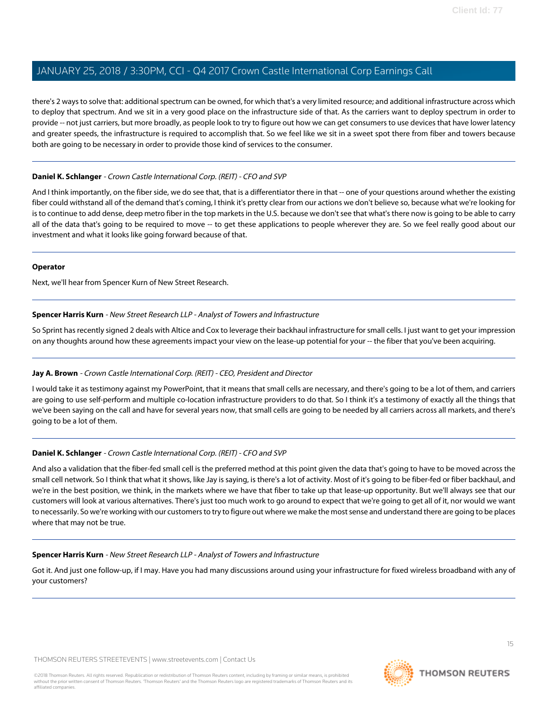there's 2 ways to solve that: additional spectrum can be owned, for which that's a very limited resource; and additional infrastructure across which to deploy that spectrum. And we sit in a very good place on the infrastructure side of that. As the carriers want to deploy spectrum in order to provide -- not just carriers, but more broadly, as people look to try to figure out how we can get consumers to use devices that have lower latency and greater speeds, the infrastructure is required to accomplish that. So we feel like we sit in a sweet spot there from fiber and towers because both are going to be necessary in order to provide those kind of services to the consumer.

## **Daniel K. Schlanger** - Crown Castle International Corp. (REIT) - CFO and SVP

And I think importantly, on the fiber side, we do see that, that is a differentiator there in that -- one of your questions around whether the existing fiber could withstand all of the demand that's coming, I think it's pretty clear from our actions we don't believe so, because what we're looking for is to continue to add dense, deep metro fiber in the top markets in the U.S. because we don't see that what's there now is going to be able to carry all of the data that's going to be required to move -- to get these applications to people wherever they are. So we feel really good about our investment and what it looks like going forward because of that.

#### **Operator**

<span id="page-14-0"></span>Next, we'll hear from Spencer Kurn of New Street Research.

# **Spencer Harris Kurn** - New Street Research LLP - Analyst of Towers and Infrastructure

So Sprint has recently signed 2 deals with Altice and Cox to leverage their backhaul infrastructure for small cells. I just want to get your impression on any thoughts around how these agreements impact your view on the lease-up potential for your -- the fiber that you've been acquiring.

#### **Jay A. Brown** - Crown Castle International Corp. (REIT) - CEO, President and Director

I would take it as testimony against my PowerPoint, that it means that small cells are necessary, and there's going to be a lot of them, and carriers are going to use self-perform and multiple co-location infrastructure providers to do that. So I think it's a testimony of exactly all the things that we've been saying on the call and have for several years now, that small cells are going to be needed by all carriers across all markets, and there's going to be a lot of them.

# **Daniel K. Schlanger** - Crown Castle International Corp. (REIT) - CFO and SVP

And also a validation that the fiber-fed small cell is the preferred method at this point given the data that's going to have to be moved across the small cell network. So I think that what it shows, like Jay is saying, is there's a lot of activity. Most of it's going to be fiber-fed or fiber backhaul, and we're in the best position, we think, in the markets where we have that fiber to take up that lease-up opportunity. But we'll always see that our customers will look at various alternatives. There's just too much work to go around to expect that we're going to get all of it, nor would we want to necessarily. So we're working with our customers to try to figure out where we make the most sense and understand there are going to be places where that may not be true.

#### **Spencer Harris Kurn** - New Street Research LLP - Analyst of Towers and Infrastructure

Got it. And just one follow-up, if I may. Have you had many discussions around using your infrastructure for fixed wireless broadband with any of your customers?

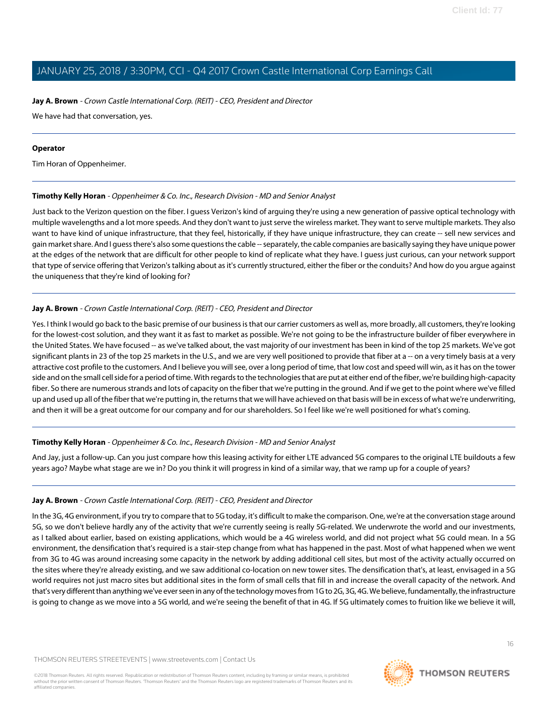## **Jay A. Brown** - Crown Castle International Corp. (REIT) - CEO, President and Director

We have had that conversation, yes.

#### **Operator**

<span id="page-15-0"></span>Tim Horan of Oppenheimer.

# **Timothy Kelly Horan** - Oppenheimer & Co. Inc., Research Division - MD and Senior Analyst

Just back to the Verizon question on the fiber. I guess Verizon's kind of arguing they're using a new generation of passive optical technology with multiple wavelengths and a lot more speeds. And they don't want to just serve the wireless market. They want to serve multiple markets. They also want to have kind of unique infrastructure, that they feel, historically, if they have unique infrastructure, they can create -- sell new services and gain market share. And I guess there's also some questions the cable -- separately, the cable companies are basically saying they have unique power at the edges of the network that are difficult for other people to kind of replicate what they have. I guess just curious, can your network support that type of service offering that Verizon's talking about as it's currently structured, either the fiber or the conduits? And how do you argue against the uniqueness that they're kind of looking for?

# **Jay A. Brown** - Crown Castle International Corp. (REIT) - CEO, President and Director

Yes. I think I would go back to the basic premise of our business is that our carrier customers as well as, more broadly, all customers, they're looking for the lowest-cost solution, and they want it as fast to market as possible. We're not going to be the infrastructure builder of fiber everywhere in the United States. We have focused -- as we've talked about, the vast majority of our investment has been in kind of the top 25 markets. We've got significant plants in 23 of the top 25 markets in the U.S., and we are very well positioned to provide that fiber at a -- on a very timely basis at a very attractive cost profile to the customers. And I believe you will see, over a long period of time, that low cost and speed will win, as it has on the tower side and on the small cell side for a period of time. With regards to the technologies that are put at either end of the fiber, we're building high-capacity fiber. So there are numerous strands and lots of capacity on the fiber that we're putting in the ground. And if we get to the point where we've filled up and used up all of the fiber that we're putting in, the returns that we will have achieved on that basis will be in excess of what we're underwriting, and then it will be a great outcome for our company and for our shareholders. So I feel like we're well positioned for what's coming.

#### **Timothy Kelly Horan** - Oppenheimer & Co. Inc., Research Division - MD and Senior Analyst

And Jay, just a follow-up. Can you just compare how this leasing activity for either LTE advanced 5G compares to the original LTE buildouts a few years ago? Maybe what stage are we in? Do you think it will progress in kind of a similar way, that we ramp up for a couple of years?

#### **Jay A. Brown** - Crown Castle International Corp. (REIT) - CEO, President and Director

In the 3G, 4G environment, if you try to compare that to 5G today, it's difficult to make the comparison. One, we're at the conversation stage around 5G, so we don't believe hardly any of the activity that we're currently seeing is really 5G-related. We underwrote the world and our investments, as I talked about earlier, based on existing applications, which would be a 4G wireless world, and did not project what 5G could mean. In a 5G environment, the densification that's required is a stair-step change from what has happened in the past. Most of what happened when we went from 3G to 4G was around increasing some capacity in the network by adding additional cell sites, but most of the activity actually occurred on the sites where they're already existing, and we saw additional co-location on new tower sites. The densification that's, at least, envisaged in a 5G world requires not just macro sites but additional sites in the form of small cells that fill in and increase the overall capacity of the network. And that's very different than anything we've ever seen in any of the technology moves from 1G to 2G, 3G, 4G. We believe, fundamentally, the infrastructure is going to change as we move into a 5G world, and we're seeing the benefit of that in 4G. If 5G ultimately comes to fruition like we believe it will,

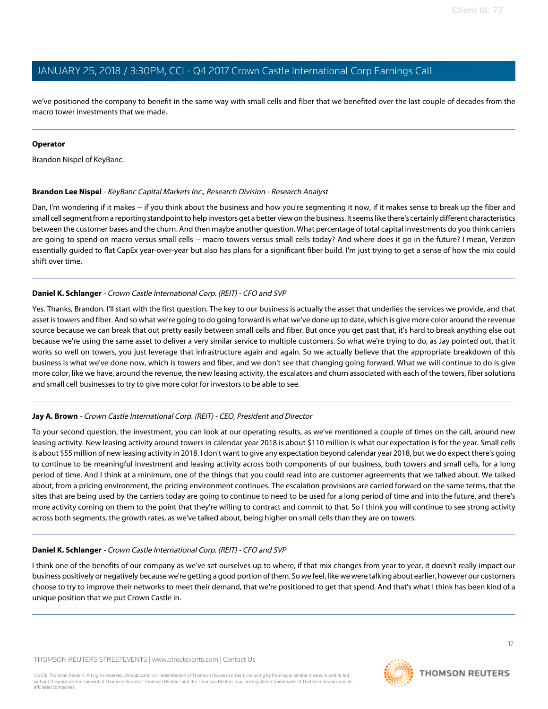we've positioned the company to benefit in the same way with small cells and fiber that we benefited over the last couple of decades from the macro tower investments that we made.

#### **Operator**

<span id="page-16-0"></span>Brandon Nispel of KeyBanc.

# **Brandon Lee Nispel** - KeyBanc Capital Markets Inc., Research Division - Research Analyst

Dan, I'm wondering if it makes -- if you think about the business and how you're segmenting it now, if it makes sense to break up the fiber and small cell segment from a reporting standpoint to help investors get a better view on the business. It seems like there's certainly different characteristics between the customer bases and the churn. And then maybe another question. What percentage of total capital investments do you think carriers are going to spend on macro versus small cells -- macro towers versus small cells today? And where does it go in the future? I mean, Verizon essentially guided to flat CapEx year-over-year but also has plans for a significant fiber build. I'm just trying to get a sense of how the mix could shift over time.

# **Daniel K. Schlanger** - Crown Castle International Corp. (REIT) - CFO and SVP

Yes. Thanks, Brandon. I'll start with the first question. The key to our business is actually the asset that underlies the services we provide, and that asset is towers and fiber. And so what we're going to do going forward is what we've done up to date, which is give more color around the revenue source because we can break that out pretty easily between small cells and fiber. But once you get past that, it's hard to break anything else out because we're using the same asset to deliver a very similar service to multiple customers. So what we're trying to do, as Jay pointed out, that it works so well on towers, you just leverage that infrastructure again and again. So we actually believe that the appropriate breakdown of this business is what we've done now, which is towers and fiber, and we don't see that changing going forward. What we will continue to do is give more color, like we have, around the revenue, the new leasing activity, the escalators and churn associated with each of the towers, fiber solutions and small cell businesses to try to give more color for investors to be able to see.

# **Jay A. Brown** - Crown Castle International Corp. (REIT) - CEO, President and Director

To your second question, the investment, you can look at our operating results, as we've mentioned a couple of times on the call, around new leasing activity. New leasing activity around towers in calendar year 2018 is about \$110 million is what our expectation is for the year. Small cells is about \$55 million of new leasing activity in 2018. I don't want to give any expectation beyond calendar year 2018, but we do expect there's going to continue to be meaningful investment and leasing activity across both components of our business, both towers and small cells, for a long period of time. And I think at a minimum, one of the things that you could read into are customer agreements that we talked about. We talked about, from a pricing environment, the pricing environment continues. The escalation provisions are carried forward on the same terms, that the sites that are being used by the carriers today are going to continue to need to be used for a long period of time and into the future, and there's more activity coming on them to the point that they're willing to contract and commit to that. So I think you will continue to see strong activity across both segments, the growth rates, as we've talked about, being higher on small cells than they are on towers.

# **Daniel K. Schlanger** - Crown Castle International Corp. (REIT) - CFO and SVP

I think one of the benefits of our company as we've set ourselves up to where, if that mix changes from year to year, it doesn't really impact our business positively or negatively because we're getting a good portion of them. So we feel, like we were talking about earlier, however our customers choose to try to improve their networks to meet their demand, that we're positioned to get that spend. And that's what I think has been kind of a unique position that we put Crown Castle in.



17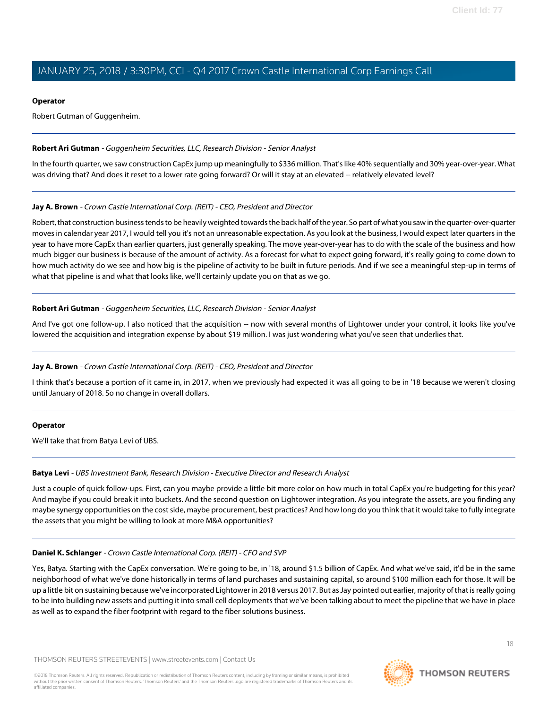## **Operator**

Robert Gutman of Guggenheim.

# <span id="page-17-1"></span>**Robert Ari Gutman** - Guggenheim Securities, LLC, Research Division - Senior Analyst

In the fourth quarter, we saw construction CapEx jump up meaningfully to \$336 million. That's like 40% sequentially and 30% year-over-year. What was driving that? And does it reset to a lower rate going forward? Or will it stay at an elevated -- relatively elevated level?

# **Jay A. Brown** - Crown Castle International Corp. (REIT) - CEO, President and Director

Robert, that construction business tends to be heavily weighted towards the back half of the year. So part of what you saw in the quarter-over-quarter moves in calendar year 2017, I would tell you it's not an unreasonable expectation. As you look at the business, I would expect later quarters in the year to have more CapEx than earlier quarters, just generally speaking. The move year-over-year has to do with the scale of the business and how much bigger our business is because of the amount of activity. As a forecast for what to expect going forward, it's really going to come down to how much activity do we see and how big is the pipeline of activity to be built in future periods. And if we see a meaningful step-up in terms of what that pipeline is and what that looks like, we'll certainly update you on that as we go.

# **Robert Ari Gutman** - Guggenheim Securities, LLC, Research Division - Senior Analyst

And I've got one follow-up. I also noticed that the acquisition -- now with several months of Lightower under your control, it looks like you've lowered the acquisition and integration expense by about \$19 million. I was just wondering what you've seen that underlies that.

# **Jay A. Brown** - Crown Castle International Corp. (REIT) - CEO, President and Director

I think that's because a portion of it came in, in 2017, when we previously had expected it was all going to be in '18 because we weren't closing until January of 2018. So no change in overall dollars.

#### <span id="page-17-0"></span>**Operator**

We'll take that from Batya Levi of UBS.

#### **Batya Levi** - UBS Investment Bank, Research Division - Executive Director and Research Analyst

Just a couple of quick follow-ups. First, can you maybe provide a little bit more color on how much in total CapEx you're budgeting for this year? And maybe if you could break it into buckets. And the second question on Lightower integration. As you integrate the assets, are you finding any maybe synergy opportunities on the cost side, maybe procurement, best practices? And how long do you think that it would take to fully integrate the assets that you might be willing to look at more M&A opportunities?

#### **Daniel K. Schlanger** - Crown Castle International Corp. (REIT) - CFO and SVP

Yes, Batya. Starting with the CapEx conversation. We're going to be, in '18, around \$1.5 billion of CapEx. And what we've said, it'd be in the same neighborhood of what we've done historically in terms of land purchases and sustaining capital, so around \$100 million each for those. It will be up a little bit on sustaining because we've incorporated Lightower in 2018 versus 2017. But as Jay pointed out earlier, majority of that is really going to be into building new assets and putting it into small cell deployments that we've been talking about to meet the pipeline that we have in place as well as to expand the fiber footprint with regard to the fiber solutions business.